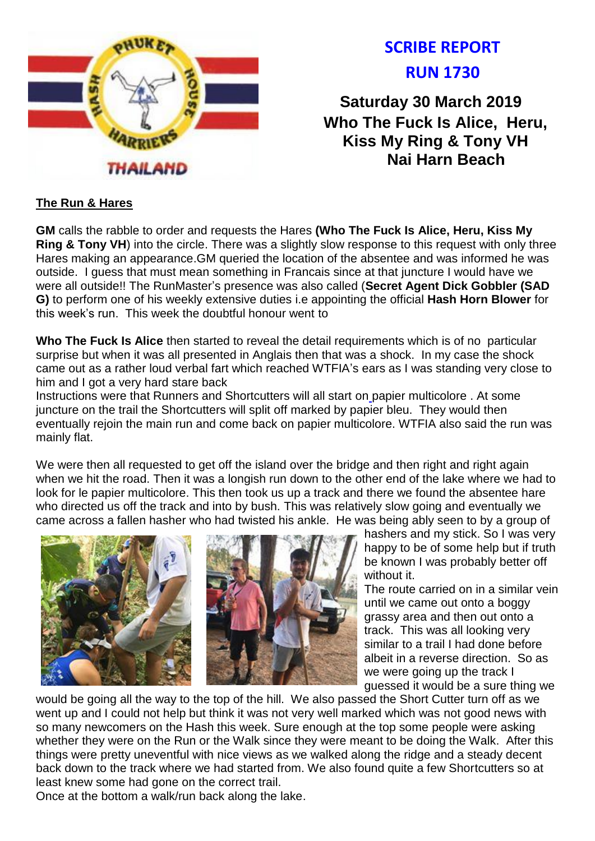

# **SCRIBE REPORT RUN 1730**

**Saturday 30 March 2019 Who The Fuck Is Alice, Heru, Kiss My Ring & Tony VH Nai Harn Beach**

## **The Run & Hares**

**GM** calls the rabble to order and requests the Hares **(Who The Fuck Is Alice, Heru, Kiss My Ring & Tony VH**) into the circle. There was a slightly slow response to this request with only three Hares making an appearance.GM queried the location of the absentee and was informed he was outside. I guess that must mean something in Francais since at that juncture I would have we were all outside!! The RunMaster's presence was also called (**Secret Agent Dick Gobbler (SAD G)** to perform one of his weekly extensive duties i.e appointing the official **Hash Horn Blower** for this week's run. This week the doubtful honour went to

**Who The Fuck Is Alice** then started to reveal the detail requirements which is of no particular surprise but when it was all presented in Anglais then that was a shock. In my case the shock came out as a rather loud verbal fart which reached WTFIA's ears as I was standing very close to him and I got a very hard stare back

Instructions were that Runners and Shortcutters will all start on papier multicolore . At some juncture on the trail the Shortcutters will split off marked by papier bleu. They would then eventually rejoin the main run and come back on papier multicolore. WTFIA also said the run was mainly flat.

We were then all requested to get off the island over the bridge and then right and right again when we hit the road. Then it was a longish run down to the other end of the lake where we had to look for le papier multicolore. This then took us up a track and there we found the absentee hare who directed us off the track and into by bush. This was relatively slow going and eventually we came across a fallen hasher who had twisted his ankle. He was being ably seen to by a group of



hashers and my stick. So I was very happy to be of some help but if truth be known I was probably better off without it

The route carried on in a similar vein until we came out onto a boggy grassy area and then out onto a track. This was all looking very similar to a trail I had done before albeit in a reverse direction. So as we were going up the track I guessed it would be a sure thing we

would be going all the way to the top of the hill. We also passed the Short Cutter turn off as we went up and I could not help but think it was not very well marked which was not good news with so many newcomers on the Hash this week. Sure enough at the top some people were asking whether they were on the Run or the Walk since they were meant to be doing the Walk. After this things were pretty uneventful with nice views as we walked along the ridge and a steady decent back down to the track where we had started from. We also found quite a few Shortcutters so at least knew some had gone on the correct trail.

Once at the bottom a walk/run back along the lake.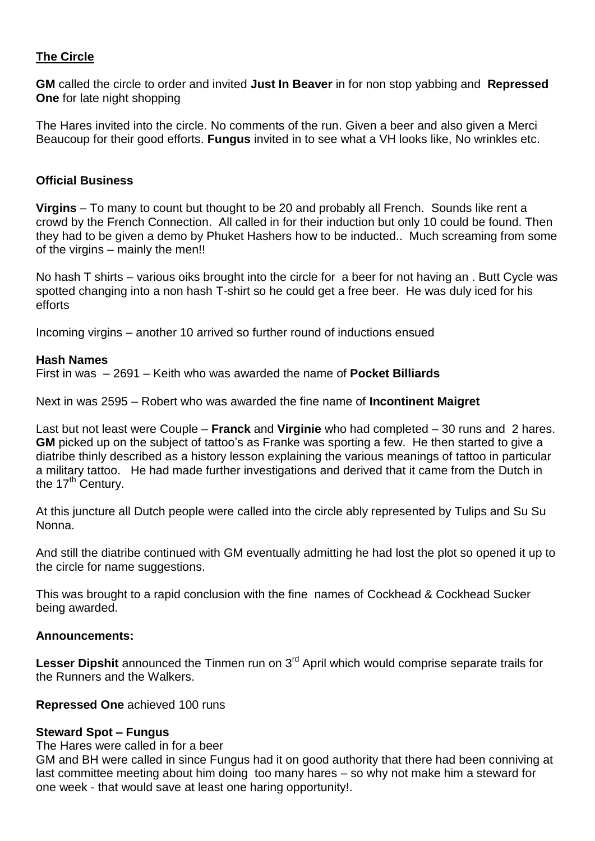# **The Circle**

**GM** called the circle to order and invited **Just In Beaver** in for non stop yabbing and **Repressed One** for late night shopping

The Hares invited into the circle. No comments of the run. Given a beer and also given a Merci Beaucoup for their good efforts. **Fungus** invited in to see what a VH looks like, No wrinkles etc.

#### **Official Business**

**Virgins** – To many to count but thought to be 20 and probably all French. Sounds like rent a crowd by the French Connection. All called in for their induction but only 10 could be found. Then they had to be given a demo by Phuket Hashers how to be inducted.. Much screaming from some of the virgins – mainly the men!!

No hash T shirts – various oiks brought into the circle for a beer for not having an . Butt Cycle was spotted changing into a non hash T-shirt so he could get a free beer. He was duly iced for his efforts

Incoming virgins – another 10 arrived so further round of inductions ensued

### **Hash Names**

First in was – 2691 – Keith who was awarded the name of **Pocket Billiards**

Next in was 2595 – Robert who was awarded the fine name of **Incontinent Maigret**

Last but not least were Couple – **Franck** and **Virginie** who had completed – 30 runs and 2 hares. **GM** picked up on the subject of tattoo's as Franke was sporting a few. He then started to give a diatribe thinly described as a history lesson explaining the various meanings of tattoo in particular a military tattoo. He had made further investigations and derived that it came from the Dutch in the  $17<sup>th</sup>$  Century.

At this juncture all Dutch people were called into the circle ably represented by Tulips and Su Su Nonna.

And still the diatribe continued with GM eventually admitting he had lost the plot so opened it up to the circle for name suggestions.

This was brought to a rapid conclusion with the fine names of Cockhead & Cockhead Sucker being awarded.

#### **Announcements:**

Lesser Dipshit announced the Tinmen run on 3<sup>rd</sup> April which would comprise separate trails for the Runners and the Walkers.

#### **Repressed One** achieved 100 runs

#### **Steward Spot – Fungus**

The Hares were called in for a beer

GM and BH were called in since Fungus had it on good authority that there had been conniving at last committee meeting about him doing too many hares – so why not make him a steward for one week - that would save at least one haring opportunity!.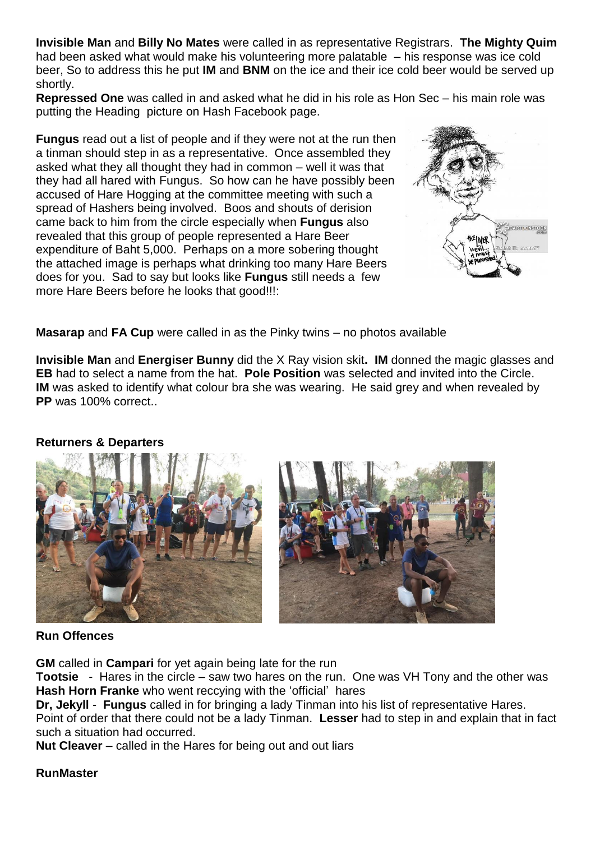**Invisible Man** and **Billy No Mates** were called in as representative Registrars. **The Mighty Quim** had been asked what would make his volunteering more palatable – his response was ice cold beer, So to address this he put **IM** and **BNM** on the ice and their ice cold beer would be served up shortly.

**Repressed One** was called in and asked what he did in his role as Hon Sec – his main role was putting the Heading picture on Hash Facebook page.

**Fungus** read out a list of people and if they were not at the run then a tinman should step in as a representative. Once assembled they asked what they all thought they had in common – well it was that they had all hared with Fungus. So how can he have possibly been accused of Hare Hogging at the committee meeting with such a spread of Hashers being involved. Boos and shouts of derision came back to him from the circle especially when **Fungus** also revealed that this group of people represented a Hare Beer expenditure of Baht 5,000. Perhaps on a more sobering thought the attached image is perhaps what drinking too many Hare Beers does for you. Sad to say but looks like **Fungus** still needs a few more Hare Beers before he looks that good!!!:



**Masarap** and **FA Cup** were called in as the Pinky twins – no photos available

**Invisible Man** and **Energiser Bunny** did the X Ray vision skit**. IM** donned the magic glasses and **EB** had to select a name from the hat. **Pole Position** was selected and invited into the Circle. **IM** was asked to identify what colour bra she was wearing. He said grey and when revealed by **PP** was 100% correct.

#### **Returners & Departers**



#### **Run Offences**

**GM** called in **Campari** for yet again being late for the run

**Tootsie** - Hares in the circle – saw two hares on the run. One was VH Tony and the other was **Hash Horn Franke** who went reccying with the 'official' hares

**Dr, Jekyll** - **Fungus** called in for bringing a lady Tinman into his list of representative Hares.

Point of order that there could not be a lady Tinman. **Lesser** had to step in and explain that in fact such a situation had occurred.

**Nut Cleaver** – called in the Hares for being out and out liars

#### **RunMaster**